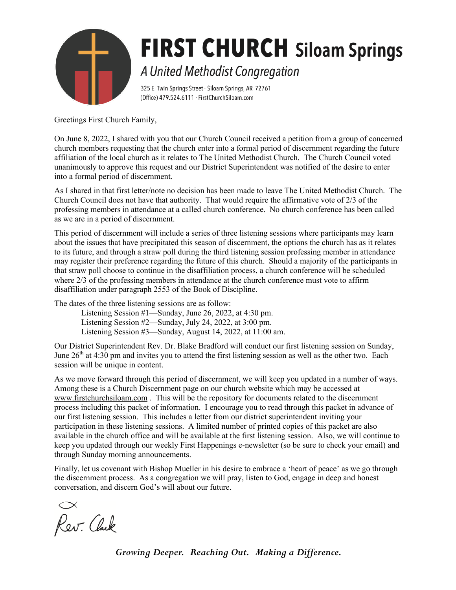

# **FIRST CHURCH** Siloam Springs A United Methodist Congregation

325 E. Twin Springs Street · Siloam Springs, AR 72761 (Office) 479.524.6111 · FirstChurchSiloam.com

Greetings First Church Family,

On June 8, 2022, I shared with you that our Church Council received a petition from a group of concerned church members requesting that the church enter into a formal period of discernment regarding the future affiliation of the local church as it relates to The United Methodist Church. The Church Council voted unanimously to approve this request and our District Superintendent was notified of the desire to enter into a formal period of discernment.

As I shared in that first letter/note no decision has been made to leave The United Methodist Church. The Church Council does not have that authority. That would require the affirmative vote of 2/3 of the professing members in attendance at a called church conference. No church conference has been called as we are in a period of discernment.

This period of discernment will include a series of three listening sessions where participants may learn about the issues that have precipitated this season of discernment, the options the church has as it relates to its future, and through a straw poll during the third listening session professing member in attendance may register their preference regarding the future of this church. Should a majority of the participants in that straw poll choose to continue in the disaffiliation process, a church conference will be scheduled where 2/3 of the professing members in attendance at the church conference must vote to affirm disaffiliation under paragraph 2553 of the Book of Discipline.

The dates of the three listening sessions are as follow:

Listening Session #1—Sunday, June 26, 2022, at 4:30 pm.

Listening Session #2—Sunday, July 24, 2022, at 3:00 pm.

Listening Session #3—Sunday, August 14, 2022, at 11:00 am.

Our District Superintendent Rev. Dr. Blake Bradford will conduct our first listening session on Sunday, June  $26<sup>th</sup>$  at 4:30 pm and invites you to attend the first listening session as well as the other two. Each session will be unique in content.

As we move forward through this period of discernment, we will keep you updated in a number of ways. Among these is a Church Discernment page on our church website which may be accessed at www.firstchurchsiloam.com . This will be the repository for documents related to the discernment process including this packet of information. I encourage you to read through this packet in advance of our first listening session. This includes a letter from our district superintendent inviting your participation in these listening sessions. A limited number of printed copies of this packet are also available in the church office and will be available at the first listening session. Also, we will continue to keep you updated through our weekly First Happenings e-newsletter (so be sure to check your email) and through Sunday morning announcements.

Finally, let us covenant with Bishop Mueller in his desire to embrace a 'heart of peace' as we go through the discernment process. As a congregation we will pray, listen to God, engage in deep and honest conversation, and discern God's will about our future.

Rev. Clark

*Growing Deeper. Reaching Out. Making a Difference.*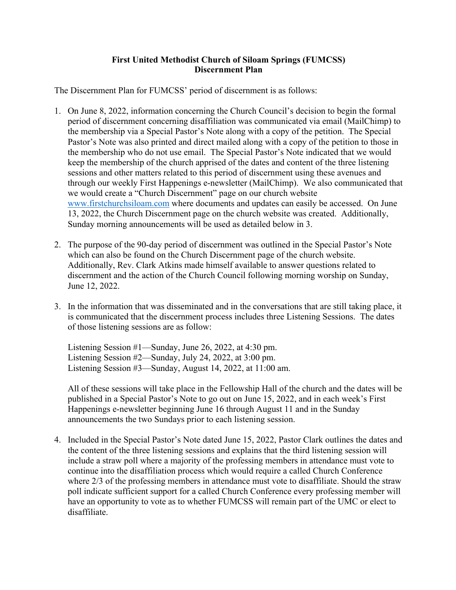# **First United Methodist Church of Siloam Springs (FUMCSS) Discernment Plan**

The Discernment Plan for FUMCSS' period of discernment is as follows:

- 1. On June 8, 2022, information concerning the Church Council's decision to begin the formal period of discernment concerning disaffiliation was communicated via email (MailChimp) to the membership via a Special Pastor's Note along with a copy of the petition. The Special Pastor's Note was also printed and direct mailed along with a copy of the petition to those in the membership who do not use email. The Special Pastor's Note indicated that we would keep the membership of the church apprised of the dates and content of the three listening sessions and other matters related to this period of discernment using these avenues and through our weekly First Happenings e-newsletter (MailChimp). We also communicated that we would create a "Church Discernment" page on our church website www.firstchurchsiloam.com where documents and updates can easily be accessed. On June 13, 2022, the Church Discernment page on the church website was created. Additionally, Sunday morning announcements will be used as detailed below in 3.
- 2. The purpose of the 90-day period of discernment was outlined in the Special Pastor's Note which can also be found on the Church Discernment page of the church website. Additionally, Rev. Clark Atkins made himself available to answer questions related to discernment and the action of the Church Council following morning worship on Sunday, June 12, 2022.
- 3. In the information that was disseminated and in the conversations that are still taking place, it is communicated that the discernment process includes three Listening Sessions. The dates of those listening sessions are as follow:

Listening Session #1—Sunday, June 26, 2022, at 4:30 pm. Listening Session #2—Sunday, July 24, 2022, at 3:00 pm. Listening Session #3—Sunday, August 14, 2022, at 11:00 am.

All of these sessions will take place in the Fellowship Hall of the church and the dates will be published in a Special Pastor's Note to go out on June 15, 2022, and in each week's First Happenings e-newsletter beginning June 16 through August 11 and in the Sunday announcements the two Sundays prior to each listening session.

4. Included in the Special Pastor's Note dated June 15, 2022, Pastor Clark outlines the dates and the content of the three listening sessions and explains that the third listening session will include a straw poll where a majority of the professing members in attendance must vote to continue into the disaffiliation process which would require a called Church Conference where 2/3 of the professing members in attendance must vote to disaffiliate. Should the straw poll indicate sufficient support for a called Church Conference every professing member will have an opportunity to vote as to whether FUMCSS will remain part of the UMC or elect to disaffiliate.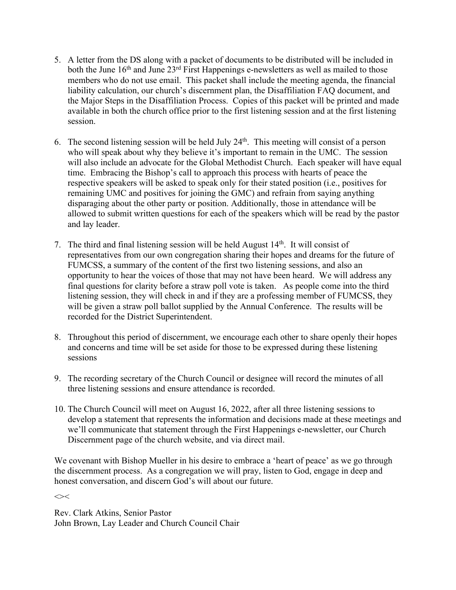- 5. A letter from the DS along with a packet of documents to be distributed will be included in both the June  $16<sup>th</sup>$  and June  $23<sup>rd</sup>$  First Happenings e-newsletters as well as mailed to those members who do not use email. This packet shall include the meeting agenda, the financial liability calculation, our church's discernment plan, the Disaffiliation FAQ document, and the Major Steps in the Disaffiliation Process. Copies of this packet will be printed and made available in both the church office prior to the first listening session and at the first listening session.
- 6. The second listening session will be held July  $24<sup>th</sup>$ . This meeting will consist of a person who will speak about why they believe it's important to remain in the UMC. The session will also include an advocate for the Global Methodist Church. Each speaker will have equal time. Embracing the Bishop's call to approach this process with hearts of peace the respective speakers will be asked to speak only for their stated position (i.e., positives for remaining UMC and positives for joining the GMC) and refrain from saying anything disparaging about the other party or position. Additionally, those in attendance will be allowed to submit written questions for each of the speakers which will be read by the pastor and lay leader.
- 7. The third and final listening session will be held August 14th. It will consist of representatives from our own congregation sharing their hopes and dreams for the future of FUMCSS, a summary of the content of the first two listening sessions, and also an opportunity to hear the voices of those that may not have been heard. We will address any final questions for clarity before a straw poll vote is taken. As people come into the third listening session, they will check in and if they are a professing member of FUMCSS, they will be given a straw poll ballot supplied by the Annual Conference. The results will be recorded for the District Superintendent.
- 8. Throughout this period of discernment, we encourage each other to share openly their hopes and concerns and time will be set aside for those to be expressed during these listening sessions
- 9. The recording secretary of the Church Council or designee will record the minutes of all three listening sessions and ensure attendance is recorded.
- 10. The Church Council will meet on August 16, 2022, after all three listening sessions to develop a statement that represents the information and decisions made at these meetings and we'll communicate that statement through the First Happenings e-newsletter, our Church Discernment page of the church website, and via direct mail.

We covenant with Bishop Mueller in his desire to embrace a 'heart of peace' as we go through the discernment process. As a congregation we will pray, listen to God, engage in deep and honest conversation, and discern God's will about our future.

 $\left\langle \right\rangle$ 

Rev. Clark Atkins, Senior Pastor John Brown, Lay Leader and Church Council Chair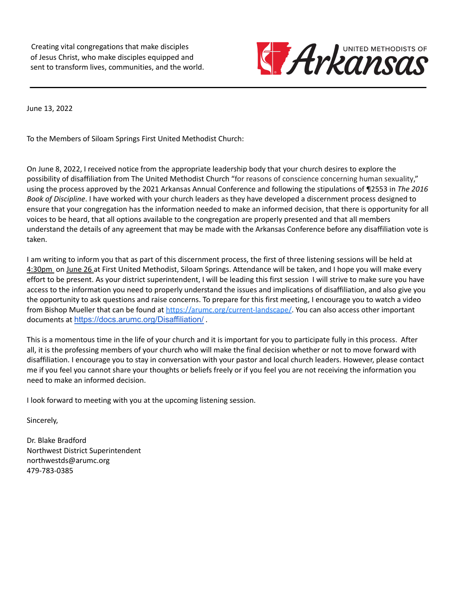Creating vital congregations that make disciples of Jesus Christ, who make disciples equipped and sent to transform lives, communities, and the world.



June 13, 2022

To the Members of Siloam Springs First United Methodist Church:

On June 8, 2022, I received notice from the appropriate leadership body that your church desires to explore the possibility of disaffiliation from The United Methodist Church "for reasons of conscience concerning human sexuality," using the process approved by the 2021 Arkansas Annual Conference and following the stipulations of ¶2553 in *The 2016 Book of Discipline*. I have worked with your church leaders as they have developed a discernment process designed to ensure that your congregation has the information needed to make an informed decision, that there is opportunity for all voices to be heard, that all options available to the congregation are properly presented and that all members understand the details of any agreement that may be made with the Arkansas Conference before any disaffiliation vote is taken.

I am writing to inform you that as part of this discernment process, the first of three listening sessions will be held at 4:30pm on June 26 at First United Methodist, Siloam Springs. Attendance will be taken, and I hope you will make every effort to be present. As your district superintendent, I will be leading this first session I will strive to make sure you have access to the information you need to properly understand the issues and implications of disaffiliation, and also give you the opportunity to ask questions and raise concerns. To prepare for this first meeting, I encourage you to watch a video from Bishop Mueller that can be found at [https://arumc.org/current-landscape/.](https://arumc.org/current-landscape/) You can also access other important documents at <https://docs.arumc.org/Disaffiliation/> .

This is a momentous time in the life of your church and it is important for you to participate fully in this process. After all, it is the professing members of your church who will make the final decision whether or not to move forward with disaffiliation. I encourage you to stay in conversation with your pastor and local church leaders. However, please contact me if you feel you cannot share your thoughts or beliefs freely or if you feel you are not receiving the information you need to make an informed decision.

I look forward to meeting with you at the upcoming listening session.

Sincerely,

Dr. Blake Bradford Northwest District Superintendent northwestds@arumc.org 479-783-0385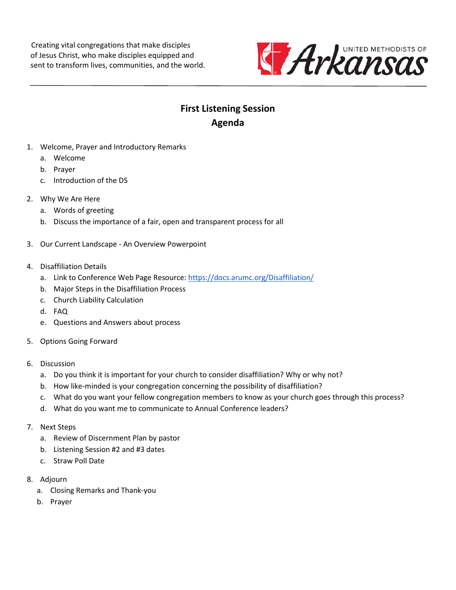Creating vital congregations that make disciples of Jesus Christ, who make disciples equipped and sent to transform lives, communities, and the world.



# **First Listening Session Agenda**

- 1. Welcome, Prayer and Introductory Remarks
	- a. Welcome
	- b. Prayer
	- c. Introduction of the DS
- 2. Why We Are Here
	- a. Words of greeting
	- b. Discuss the importance of a fair, open and transparent process for all
- 3. Our Current Landscape An Overview Powerpoint
- 4. Disaffiliation Details
	- a. Link to Conference Web Page Resource[: https://docs.arumc.org/Disaffiliation/](https://docs.arumc.org/Disaffiliation/)
	- b. Major Steps in the Disaffiliation Process
	- c. Church Liability Calculation
	- d. FAQ
	- e. Questions and Answers about process
- 5. Options Going Forward
- 6. Discussion
	- a. Do you think it is important for your church to consider disaffiliation? Why or why not?
	- b. How like-minded is your congregation concerning the possibility of disaffiliation?
	- c. What do you want your fellow congregation members to know as your church goes through this process?
	- d. What do you want me to communicate to Annual Conference leaders?
- 7. Next Steps
	- a. Review of Discernment Plan by pastor
	- b. Listening Session #2 and #3 dates
	- c. Straw Poll Date
- 8. Adjourn
	- a. Closing Remarks and Thank-you
	- b. Prayer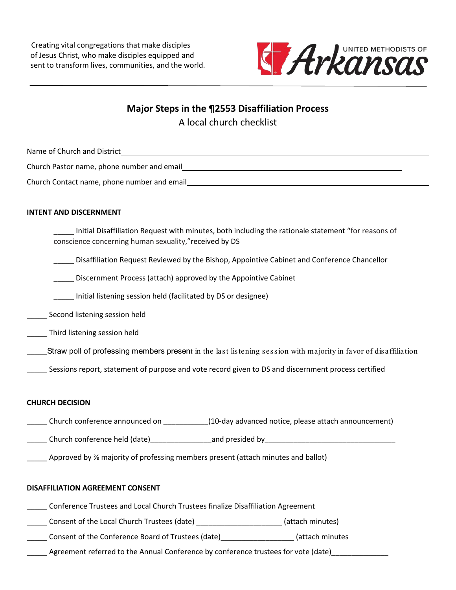Creating vital congregations that make disciples of Jesus Christ, who make disciples equipped and sent to transform lives, communities, and the world.



**Major Steps in the ¶2553 Disaffiliation Process** A local church checklist

Name of Church and District Church Pastor name, phone number and email

Church Contact name, phone number and email

#### **INTENT AND DISCERNMENT**

\_\_\_\_\_ Initial Disaffiliation Request with minutes, both including the rationale statement "for reasons of conscience concerning human sexuality,"received by DS

\_\_\_\_\_ Disaffiliation Request Reviewed by the Bishop, Appointive Cabinet and Conference Chancellor

\_\_\_\_\_ Discernment Process (attach) approved by the Appointive Cabinet

\_\_\_\_\_ Initial listening session held (facilitated by DS or designee)

\_\_\_\_\_ Second listening session held

\_\_\_\_\_ Third listening session held

\_\_\_\_\_Straw poll of professing members present in the last listening session with majority in favor of disaffiliation

Sessions report, statement of purpose and vote record given to DS and discernment process certified

#### **CHURCH DECISION**

\_\_\_\_\_ Church conference announced on \_\_\_\_\_\_\_\_\_\_\_(10-day advanced notice, please attach announcement)

\_\_\_\_\_ Church conference held (date)\_\_\_\_\_\_\_\_\_\_\_\_\_\_\_and presided by\_\_\_\_\_\_\_\_\_\_\_\_\_\_\_\_\_\_\_\_\_\_\_\_\_\_\_\_\_\_\_\_

\_\_\_\_\_ Approved by ⅔ majority of professing members present (attach minutes and ballot)

#### **DISAFFILIATION AGREEMENT CONSENT**

\_\_\_\_\_ Conference Trustees and Local Church Trustees finalize Disaffiliation Agreement

\_\_\_\_\_ Consent of the Local Church Trustees (date) \_\_\_\_\_\_\_\_\_\_\_\_\_\_\_\_\_\_\_\_\_ (attach minutes)

\_\_\_\_\_ Consent of the Conference Board of Trustees (date)\_\_\_\_\_\_\_\_\_\_\_\_\_\_\_\_\_\_ (attach minutes

\_\_\_\_\_ Agreement referred to the Annual Conference by conference trustees for vote (date)\_\_\_\_\_\_\_\_\_\_\_\_\_\_\_\_\_\_\_\_\_\_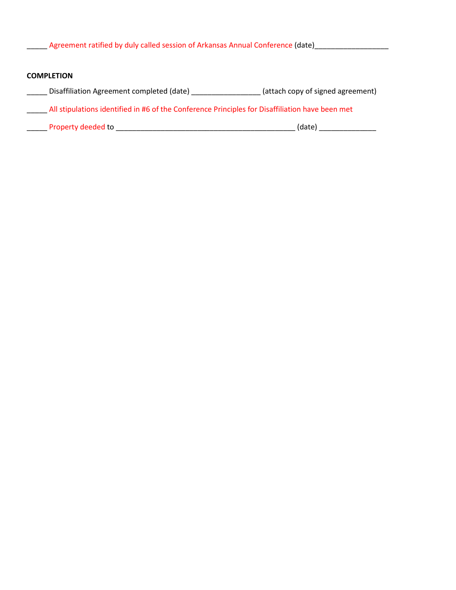\_\_\_\_\_ Agreement ratified by duly called session of Arkansas Annual Conference (date)\_\_\_\_\_\_\_\_\_\_\_\_\_\_\_\_\_\_\_\_\_\_\_\_\_\_

#### **COMPLETION**

- \_\_\_\_\_ Disaffiliation Agreement completed (date) \_\_\_\_\_\_\_\_\_\_\_\_\_\_\_\_\_ (attach copy of signed agreement)
- \_\_\_\_\_ All stipulations identified in #6 of the Conference Principles for Disaffiliation have been met
- \_\_\_\_\_ Property deeded to \_\_\_\_\_\_\_\_\_\_\_\_\_\_\_\_\_\_\_\_\_\_\_\_\_\_\_\_\_\_\_\_\_\_\_\_\_\_\_\_\_\_\_\_ (date) \_\_\_\_\_\_\_\_\_\_\_\_\_\_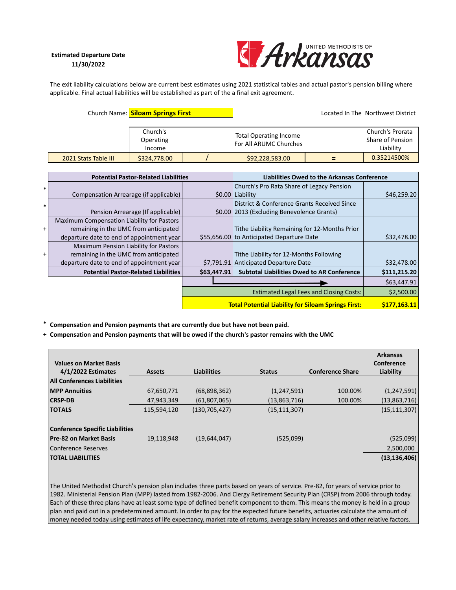#### Estimated Departure Date 11/30/2022



The exit liability calculations below are current best estimates using 2021 statistical tables and actual pastor's pension billing where applicable. Final actual liabilities will be established as part of the a final exit agreement.

| Church Name: Siloam Springs First |                                 |  | Located In The Northwest District                       |  |                                                   |
|-----------------------------------|---------------------------------|--|---------------------------------------------------------|--|---------------------------------------------------|
|                                   | Church's<br>Operating<br>Income |  | <b>Total Operating Income</b><br>For All ARUMC Churches |  | Church's Prorata<br>Share of Pension<br>Liability |
| 2021 Stats Table III              | \$324,778.00                    |  | \$92,228,583.00                                         |  | 0.35214500%                                       |

|        | <b>Potential Pastor-Related Liabilities</b> |                                                            | Liabilities Owed to the Arkansas Conference       |              |  |
|--------|---------------------------------------------|------------------------------------------------------------|---------------------------------------------------|--------------|--|
| $\ast$ |                                             |                                                            | Church's Pro Rata Share of Legacy Pension         |              |  |
|        | Compensation Arrearage (if applicable)      |                                                            | \$0.00 Liability                                  | \$46,259.20  |  |
| $\ast$ |                                             |                                                            | District & Conference Grants Received Since       |              |  |
|        | Pension Arrearage (If applicable)           |                                                            | \$0.00   2013 (Excluding Benevolence Grants)      |              |  |
|        | Maximum Compensation Liability for Pastors  |                                                            |                                                   |              |  |
| $+$    | remaining in the UMC from anticipated       |                                                            | Tithe Liability Remaining for 12-Months Prior     |              |  |
|        | departure date to end of appointment year   |                                                            | \$55,656.00 to Anticipated Departure Date         | \$32,478.00  |  |
|        | Maximum Pension Liability for Pastors       |                                                            |                                                   |              |  |
| $+$    | remaining in the UMC from anticipated       |                                                            | Tithe Liability for 12-Months Following           |              |  |
|        | departure date to end of appointment year   |                                                            | \$7,791.91 Anticipated Departure Date             | \$32,478.00  |  |
|        | <b>Potential Pastor-Related Liabilities</b> | \$63,447.91                                                | <b>Subtotal Liabilities Owed to AR Conference</b> | \$111,215.20 |  |
|        |                                             |                                                            |                                                   | \$63,447.91  |  |
|        |                                             | <b>Estimated Legal Fees and Closing Costs:</b>             |                                                   | \$2,500.00   |  |
|        |                                             | <b>Total Potential Liability for Siloam Springs First:</b> |                                                   |              |  |

\* Compensation and Pension payments that are currently due but have not been paid.

+ Compensation and Pension payments that will be owed if the church's pastor remains with the UMC

| <b>Values on Market Basis</b>          |               |                    |                |                         | <b>Arkansas</b><br>Conference |
|----------------------------------------|---------------|--------------------|----------------|-------------------------|-------------------------------|
| 4/1/2022 Estimates                     | <b>Assets</b> | <b>Liabilities</b> | <b>Status</b>  | <b>Conference Share</b> | Liability                     |
| <b>All Conferences Liabilities</b>     |               |                    |                |                         |                               |
| <b>MPP Annuities</b>                   | 67,650,771    | (68,898,362)       | (1,247,591)    | 100.00%                 | (1, 247, 591)                 |
| <b>CRSP-DB</b>                         | 47,943,349    | (61,807,065)       | (13,863,716)   | 100.00%                 | (13,863,716)                  |
| <b>TOTALS</b>                          | 115,594,120   | (130, 705, 427)    | (15, 111, 307) |                         | (15, 111, 307)                |
|                                        |               |                    |                |                         |                               |
| <b>Conference Specific Liabilities</b> |               |                    |                |                         |                               |
| <b>Pre-82 on Market Basis</b>          | 19,118,948    | (19,644,047)       | (525,099)      |                         | (525,099)                     |
| Conference Reserves                    |               |                    |                |                         | 2,500,000                     |
| <b>TOTAL LIABILITIES</b>               |               |                    |                |                         | (13, 136, 406)                |

The United Methodist Church's pension plan includes three parts based on years of service. Pre-82, for years of service prior to 1982. Ministerial Pension Plan (MPP) lasted from 1982-2006. And Clergy Retirement Security Plan (CRSP) from 2006 through today. Each of these three plans have at least some type of defined benefit component to them. This means the money is held in a group plan and paid out in a predetermined amount. In order to pay for the expected future benefits, actuaries calculate the amount of money needed today using estimates of life expectancy, market rate of returns, average salary increases and other relative factors.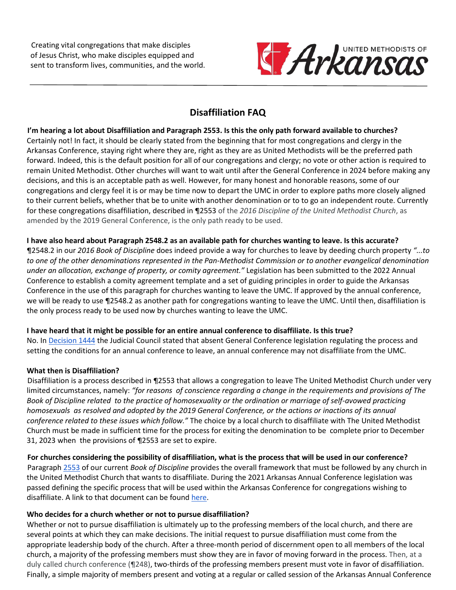Creating vital congregations that make disciples of Jesus Christ, who make disciples equipped and sent to transform lives, communities, and the world.



# **Disaffiliation FAQ**

**I'm hearing a lot about Disaffiliation and Paragraph 2553. Is this the only path forward available to churches?** Certainly not! In fact, it should be clearly stated from the beginning that for most congregations and clergy in the Arkansas Conference, staying right where they are, right as they are as United Methodists will be the preferred path forward. Indeed, this is the default position for all of our congregations and clergy; no vote or other action is required to remain United Methodist. Other churches will want to wait until after the General Conference in 2024 before making any decisions, and this is an acceptable path as well. However, for many honest and honorable reasons, some of our congregations and clergy feel it is or may be time now to depart the UMC in order to explore paths more closely aligned to their current beliefs, whether that be to unite with another denomination or to to go an independent route. Currently for these congregations disaffiliation, described in ¶2553 of the *2016 Discipline of the United Methodist Church*, as amended by the 2019 General Conference, is the only path ready to be used.

# **I have also heard about Paragraph 2548.2 as an available path for churches wanting to leave. Is this accurate?**

¶2548.2 in our *2016 Book of Discipline* does indeed provide a way for churches to leave by deeding church property *"...to to one of the other denominations represented in the Pan-Methodist Commission or to another evangelical denomination under an allocation, exchange of property, or comity agreement."* Legislation has been submitted to the 2022 Annual Conference to establish a comity agreement template and a set of guiding principles in order to guide the Arkansas Conference in the use of this paragraph for churches wanting to leave the UMC. If approved by the annual conference, we will be ready to use ¶2548.2 as another path for congregations wanting to leave the UMC. Until then, disaffiliation is the only process ready to be used now by churches wanting to leave the UMC.

# **I have heard that it might be possible for an entire annual conference to disaffiliate. Is this true?**

No. In [Decision 1444](https://www.resourceumc.org/en/churchwide/judicial-council/judicial-council-decision-home/judicial-decisions/decision-1444) the Judicial Council stated that absent General Conference legislation regulating the process and setting the conditions for an annual conference to leave, an annual conference may not disaffiliate from the UMC.

# **What then is Disaffiliation?**

Disaffiliation is a process described in ¶2553 that allows a congregation to leave The United Methodist Church under very limited circumstances, namely: *"for reasons of conscience regarding a change in the requirements and provisions of The Book of Discipline related to the practice of homosexuality or the ordination or marriage of self-avowed practicing homosexuals as resolved and adopted by the 2019 General Conference, or the actions or inactions of its annual conference related to these issues which follow."* The choice by a local church to disaffiliate with The United Methodist Church must be made in sufficient time for the process for exiting the denomination to be complete prior to December 31, 2023 when the provisions of ¶2553 are set to expire.

**For churches considering the possibility of disaffiliation, what is the process that will be used in our conference?** Paragraph [2553](https://www.umc.org/en/content/book-of-discipline-2553-disaffiliation-over-human-sexuality) of our current *Book of Discipline* provides the overall framework that must be followed by any church in the United Methodist Church that wants to disaffiliate. During the 2021 Arkansas Annual Conference legislation was passed defining the specific process that will be used within the Arkansas Conference for congregations wishing to disaffiliate. A link to that document can be found [here.](https://arumc.org/wp-content/uploads/2022/04/PrinciplesForDisaffiliation-ACApproved2021.pdf)

# **Who decides for a church whether or not to pursue disaffiliation?**

Whether or not to pursue disaffiliation is ultimately up to the professing members of the local church, and there are several points at which they can make decisions. The initial request to pursue disaffiliation must come from the appropriate leadership body of the church. After a three-month period of discernment open to all members of the local church, a majority of the professing members must show they are in favor of moving forward in the process. Then, at a duly called church conference (¶248), two-thirds of the professing members present must vote in favor of disaffiliation. Finally, a simple majority of members present and voting at a regular or called session of the Arkansas Annual Conference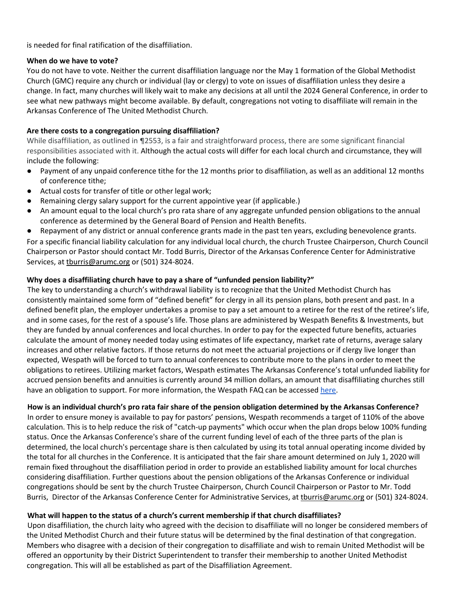is needed for final ratification of the disaffiliation.

## **When do we have to vote?**

You do not have to vote. Neither the current disaffiliation language nor the May 1 formation of the Global Methodist Church (GMC) require any church or individual (lay or clergy) to vote on issues of disaffiliation unless they desire a change. In fact, many churches will likely wait to make any decisions at all until the 2024 General Conference, in order to see what new pathways might become available. By default, congregations not voting to disaffiliate will remain in the Arkansas Conference of The United Methodist Church.

# **Are there costs to a congregation pursuing disaffiliation?**

While disaffiliation, as outlined in ¶2553, is a fair and straightforward process, there are some significant financial responsibilities associated with it. Although the actual costs will differ for each local church and circumstance, they will include the following:

- Payment of any unpaid conference tithe for the 12 months prior to disaffiliation, as well as an additional 12 months of conference tithe;
- Actual costs for transfer of title or other legal work;
- Remaining clergy salary support for the current appointive year (if applicable.)
- An amount equal to the local church's pro rata share of any aggregate unfunded pension obligations to the annual conference as determined by the General Board of Pension and Health Benefits.
- Repayment of any district or annual conference grants made in the past ten years, excluding benevolence grants.

For a specific financial liability calculation for any individual local church, the church Trustee Chairperson, Church Council Chairperson or Pastor should contact Mr. Todd Burris, Director of the Arkansas Conference Center for Administrative Services, at thurris@arumc.org or (501) 324-8024.

# **Why does a disaffiliating church have to pay a share of "unfunded pension liability?"**

The key to understanding a church's withdrawal liability is to recognize that the United Methodist Church has consistently maintained some form of "defined benefit" for clergy in all its pension plans, both present and past. In a defined benefit plan, the employer undertakes a promise to pay a set amount to a retiree for the rest of the retiree's life, and in some cases, for the rest of a spouse's life. Those plans are administered by Wespath Benefits & Investments, but they are funded by annual conferences and local churches. In order to pay for the expected future benefits, actuaries calculate the amount of money needed today using estimates of life expectancy, market rate of returns, average salary increases and other relative factors. If those returns do not meet the actuarial projections or if clergy live longer than expected, Wespath will be forced to turn to annual conferences to contribute more to the plans in order to meet the obligations to retirees. Utilizing market factors, Wespath estimates The Arkansas Conference's total unfunded liability for accrued pension benefits and annuities is currently around 34 million dollars, an amount that disaffiliating churches still have an obligation to support. For more information, the Wespath FAQ can be accesse[d here.](https://www.wespath.org/about-wespath/wayforwardwespathfaq)

#### **How is an individual church's pro rata fair share of the pension obligation determined by the Arkansas Conference?**

In order to ensure money is available to pay for pastors' pensions, Wespath recommends a target of 110% of the above calculation. This is to help reduce the risk of "catch-up payments" which occur when the plan drops below 100% funding status. Once the Arkansas Conference's share of the current funding level of each of the three parts of the plan is determined, the local church's percentage share is then calculated by using its total annual operating income divided by the total for all churches in the Conference. It is anticipated that the fair share amount determined on July 1, 2020 will remain fixed throughout the disaffiliation period in order to provide an established liability amount for local churches considering disaffiliation. Further questions about the pension obligations of the Arkansas Conference or individual congregations should be sent by the church Trustee Chairperson, Church Council Chairperson or Pastor to Mr. Todd Burris, Director of the Arkansas Conference Center for Administrative Services, a[t tburris@arumc.org](mailto:tburris@arumc.org) or (501) 324-8024.

# **What will happen to the status of a church's current membership if that church disaffiliates?**

Upon disaffiliation, the church laity who agreed with the decision to disaffiliate will no longer be considered members of the United Methodist Church and their future status will be determined by the final destination of that congregation. Members who disagree with a decision of their congregation to disaffiliate and wish to remain United Methodist will be offered an opportunity by their District Superintendent to transfer their membership to another United Methodist congregation. This will all be established as part of the Disaffiliation Agreement.